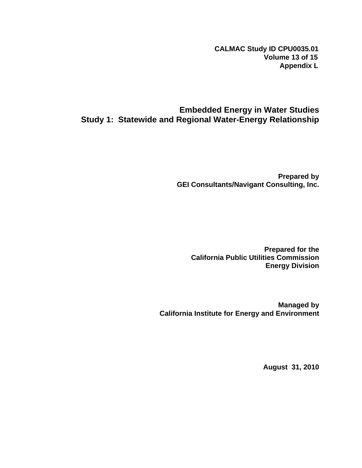**CALMAC Study ID CPU0035.01 Volume 13 of 15 Appendix L**

# **Embedded Energy in Water Studies Study 1: Statewide and Regional Water-Energy Relationship**

**Prepared by GEI Consultants/Navigant Consulting, Inc.** 

**Prepared for the California Public Utilities Commission Energy Division** 

**Managed by California Institute for Energy and Environment** 

**August 31, 2010**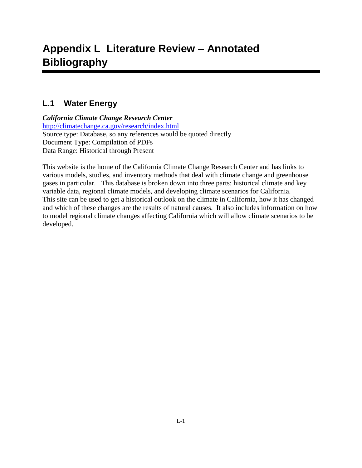# **L.1 Water Energy**

*California Climate Change Research Center* <http://climatechange.ca.gov/research/index.html> Source type: Database, so any references would be quoted directly Document Type: Compilation of PDFs Data Range: Historical through Present

This website is the home of the California Climate Change Research Center and has links to various models, studies, and inventory methods that deal with climate change and greenhouse gases in particular. This database is broken down into three parts: historical climate and key variable data, regional climate models, and developing climate scenarios for California. This site can be used to get a historical outlook on the climate in California, how it has changed and which of these changes are the results of natural causes. It also includes information on how to model regional climate changes affecting California which will allow climate scenarios to be developed.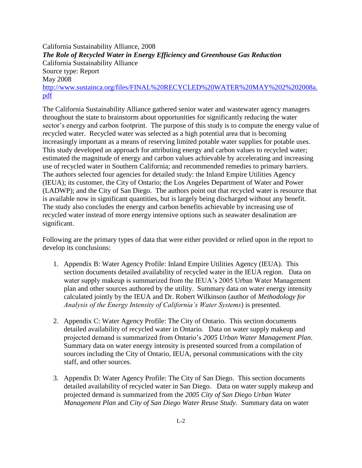California Sustainability Alliance, 2008 *The Role of Recycled Water in Energy Efficiency and Greenhouse Gas Reduction* California Sustainability Alliance Source type: Report May 2008 [http://www.sustainca.org/files/FINAL%20RECYCLED%20WATER%20MAY%202%202008a.](http://www.sustainca.org/files/FINAL%20RECYCLED%20WATER%20MAY%202%202008a.pdf) [pdf](http://www.sustainca.org/files/FINAL%20RECYCLED%20WATER%20MAY%202%202008a.pdf)

The California Sustainability Alliance gathered senior water and wastewater agency managers throughout the state to brainstorm about opportunities for significantly reducing the water sector's energy and carbon footprint. The purpose of this study is to compute the energy value of recycled water. Recycled water was selected as a high potential area that is becoming increasingly important as a means of reserving limited potable water supplies for potable uses. This study developed an approach for attributing energy and carbon values to recycled water; estimated the magnitude of energy and carbon values achievable by accelerating and increasing use of recycled water in Southern California; and recommended remedies to primary barriers. The authors selected four agencies for detailed study: the Inland Empire Utilities Agency (IEUA); its customer, the City of Ontario; the Los Angeles Department of Water and Power (LADWP); and the City of San Diego. The authors point out that recycled water is resource that is available now in significant quantities, but is largely being discharged without any benefit. The study also concludes the energy and carbon benefits achievable by increasing use of recycled water instead of more energy intensive options such as seawater desalination are significant.

Following are the primary types of data that were either provided or relied upon in the report to develop its conclusions:

- 1. Appendix B: Water Agency Profile: Inland Empire Utilities Agency (IEUA). This section documents detailed availability of recycled water in the IEUA region. Data on water supply makeup is summarized from the IEUA's 2005 Urban Water Management plan and other sources authored by the utility. Summary data on water energy intensity calculated jointly by the IEUA and Dr. Robert Wilkinson (author of *Methodology for Analysis of the Energy Intensity of California's Water Systems*) is presented.
- 2. Appendix C: Water Agency Profile: The City of Ontario. This section documents detailed availability of recycled water in Ontario. Data on water supply makeup and projected demand is summarized from Ontario's *2005 Urban Water Management Plan*. Summary data on water energy intensity is presented sourced from a compilation of sources including the City of Ontario, IEUA, personal communications with the city staff, and other sources.
- 3. Appendix D: Water Agency Profile: The City of San Diego. This section documents detailed availability of recycled water in San Diego. Data on water supply makeup and projected demand is summarized from the *2005 City of San Diego Urban Water Management Plan* and *City of San Diego Water Reuse Study*. Summary data on water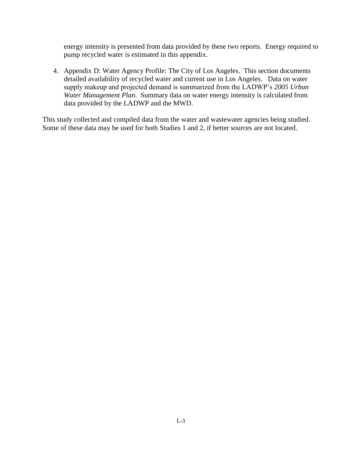energy intensity is presented from data provided by these two reports. Energy required to pump recycled water is estimated in this appendix.

4. Appendix D: Water Agency Profile: The City of Los Angeles. This section documents detailed availability of recycled water and current use in Los Angeles. Data on water supply makeup and projected demand is summarized from the LADWP's *2005 Urban Water Management Plan*. Summary data on water energy intensity is calculated from data provided by the LADWP and the MWD.

This study collected and compiled data from the water and wastewater agencies being studied. Some of these data may be used for both Studies 1 and 2, if better sources are not located.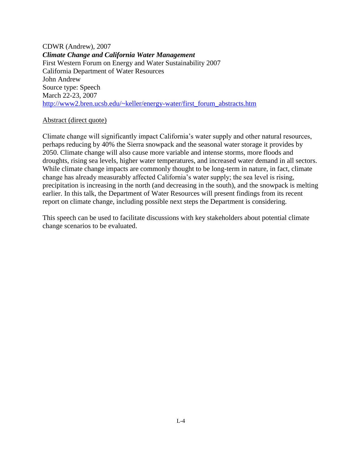CDWR (Andrew), 2007 *Climate Change and California Water Management* First Western Forum on Energy and Water Sustainability 2007 California Department of Water Resources John Andrew Source type: Speech March 22-23, 2007 [http://www2.bren.ucsb.edu/~keller/energy-water/first\\_forum\\_abstracts.htm](http://www2.bren.ucsb.edu/~keller/energy-water/first_forum_abstracts.htm)

#### Abstract (direct quote)

Climate change will significantly impact California's water supply and other natural resources, perhaps reducing by 40% the Sierra snowpack and the seasonal water storage it provides by 2050. Climate change will also cause more variable and intense storms, more floods and droughts, rising sea levels, higher water temperatures, and increased water demand in all sectors. While climate change impacts are commonly thought to be long-term in nature, in fact, climate change has already measurably affected California's water supply; the sea level is rising, precipitation is increasing in the north (and decreasing in the south), and the snowpack is melting earlier. In this talk, the Department of Water Resources will present findings from its recent report on climate change, including possible next steps the Department is considering.

This speech can be used to facilitate discussions with key stakeholders about potential climate change scenarios to be evaluated.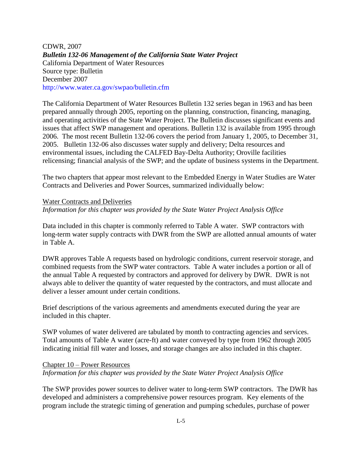CDWR, 2007 *Bulletin 132-06 Management of the California State Water Project* California Department of Water Resources Source type: Bulletin December 2007 http://www.water.ca.gov/swpao/bulletin.cfm

The California Department of Water Resources Bulletin 132 series began in 1963 and has been prepared annually through 2005, reporting on the planning, construction, financing, managing, and operating activities of the State Water Project. The Bulletin discusses significant events and issues that affect SWP management and operations. Bulletin 132 is available from 1995 through 2006. The most recent Bulletin 132-06 covers the period from January 1, 2005, to December 31, 2005. Bulletin 132-06 also discusses water supply and delivery; Delta resources and environmental issues, including the CALFED Bay-Delta Authority; Oroville facilities relicensing; financial analysis of the SWP; and the update of business systems in the Department.

The two chapters that appear most relevant to the Embedded Energy in Water Studies are Water Contracts and Deliveries and Power Sources, summarized individually below:

#### Water Contracts and Deliveries *Information for this chapter was provided by the State Water Project Analysis Office*

Data included in this chapter is commonly referred to Table A water. SWP contractors with long-term water supply contracts with DWR from the SWP are allotted annual amounts of water in Table A.

DWR approves Table A requests based on hydrologic conditions, current reservoir storage, and combined requests from the SWP water contractors. Table A water includes a portion or all of the annual Table A requested by contractors and approved for delivery by DWR. DWR is not always able to deliver the quantity of water requested by the contractors, and must allocate and deliver a lesser amount under certain conditions.

Brief descriptions of the various agreements and amendments executed during the year are included in this chapter.

SWP volumes of water delivered are tabulated by month to contracting agencies and services. Total amounts of Table A water (acre-ft) and water conveyed by type from 1962 through 2005 indicating initial fill water and losses, and storage changes are also included in this chapter.

#### Chapter 10 – Power Resources *Information for this chapter was provided by the State Water Project Analysis Office*

The SWP provides power sources to deliver water to long-term SWP contractors. The DWR has developed and administers a comprehensive power resources program. Key elements of the program include the strategic timing of generation and pumping schedules, purchase of power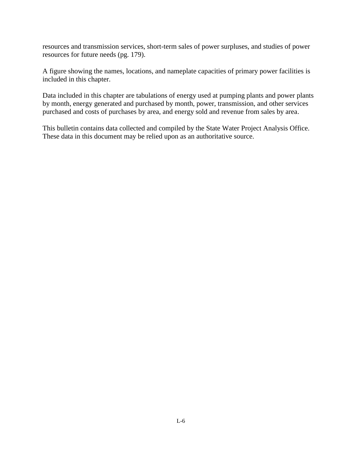resources and transmission services, short-term sales of power surpluses, and studies of power resources for future needs (pg. 179).

A figure showing the names, locations, and nameplate capacities of primary power facilities is included in this chapter.

Data included in this chapter are tabulations of energy used at pumping plants and power plants by month, energy generated and purchased by month, power, transmission, and other services purchased and costs of purchases by area, and energy sold and revenue from sales by area.

This bulletin contains data collected and compiled by the State Water Project Analysis Office. These data in this document may be relied upon as an authoritative source.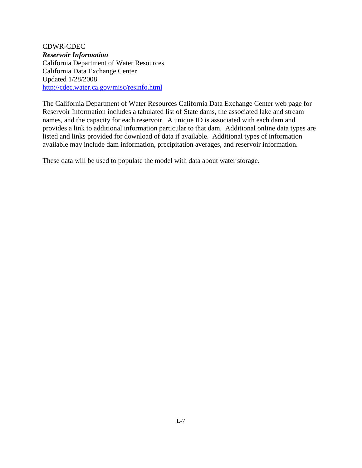CDWR-CDEC *Reservoir Information* California Department of Water Resources California Data Exchange Center Updated 1/28/2008 <http://cdec.water.ca.gov/misc/resinfo.html>

The California Department of Water Resources California Data Exchange Center web page for Reservoir Information includes a tabulated list of State dams, the associated lake and stream names, and the capacity for each reservoir. A unique ID is associated with each dam and provides a link to additional information particular to that dam. Additional online data types are listed and links provided for download of data if available. Additional types of information available may include dam information, precipitation averages, and reservoir information.

These data will be used to populate the model with data about water storage.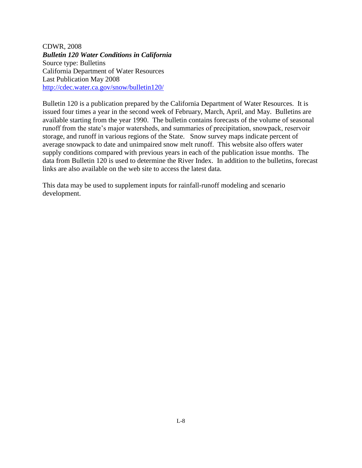CDWR, 2008 *Bulletin 120 Water Conditions in California* Source type: Bulletins California Department of Water Resources Last Publication May 2008 <http://cdec.water.ca.gov/snow/bulletin120/>

Bulletin 120 is a publication prepared by the California Department of Water Resources. It is issued four times a year in the second week of February, March, April, and May. Bulletins are available starting from the year 1990. The bulletin contains forecasts of the volume of seasonal runoff from the state's major watersheds, and summaries of precipitation, snowpack, reservoir storage, and runoff in various regions of the State. Snow survey maps indicate percent of average snowpack to date and unimpaired snow melt runoff. This website also offers water supply conditions compared with previous years in each of the publication issue months. The data from Bulletin 120 is used to determine the River Index. In addition to the bulletins, forecast links are also available on the web site to access the latest data.

This data may be used to supplement inputs for rainfall-runoff modeling and scenario development.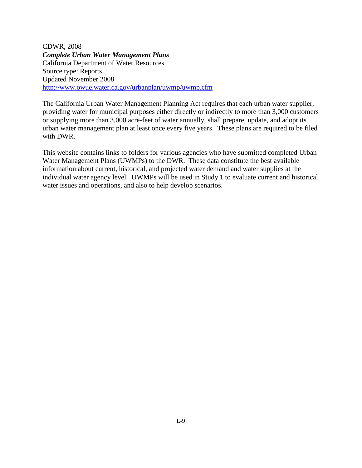CDWR, 2008 *Complete Urban Water Management Plans* California Department of Water Resources Source type: Reports Updated November 2008 <http://www.owue.water.ca.gov/urbanplan/uwmp/uwmp.cfm>

The California Urban Water Management Planning Act requires that each urban water supplier, providing water for municipal purposes either directly or indirectly to more than 3,000 customers or supplying more than 3,000 acre-feet of water annually, shall prepare, update, and adopt its urban water management plan at least once every five years. These plans are required to be filed with DWR.

This website contains links to folders for various agencies who have submitted completed Urban Water Management Plans (UWMPs) to the DWR. These data constitute the best available information about current, historical, and projected water demand and water supplies at the individual water agency level. UWMPs will be used in Study 1 to evaluate current and historical water issues and operations, and also to help develop scenarios.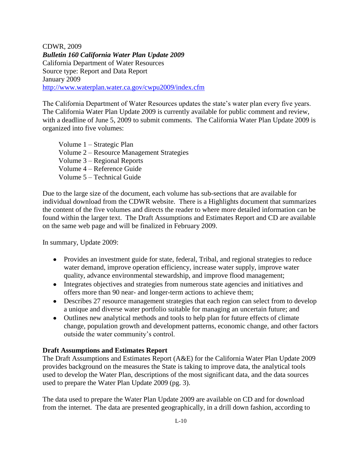CDWR, 2009 *Bulletin 160 California Water Plan Update 2009* California Department of Water Resources Source type: Report and Data Report January 2009 <http://www.waterplan.water.ca.gov/cwpu2009/index.cfm>

The California Department of Water Resources updates the state's water plan every five years. The California Water Plan Update 2009 is currently available for public comment and review, with a deadline of June 5, 2009 to submit comments. The California Water Plan Update 2009 is organized into five volumes:

Volume 1 – Strategic Plan Volume 2 – Resource Management Strategies Volume 3 – Regional Reports Volume 4 – Reference Guide Volume 5 – Technical Guide

Due to the large size of the document, each volume has sub-sections that are available for individual download from the CDWR website. There is a Highlights document that summarizes the content of the five volumes and directs the reader to where more detailed information can be found within the larger text. The Draft Assumptions and Estimates Report and CD are available on the same web page and will be finalized in February 2009.

In summary, Update 2009:

- Provides an investment guide for state, federal, Tribal, and regional strategies to reduce water demand, improve operation efficiency, increase water supply, improve water quality, advance environmental stewardship, and improve flood management;
- Integrates objectives and strategies from numerous state agencies and initiatives and offers more than 90 near- and longer-term actions to achieve them;
- Describes 27 resource management strategies that each region can select from to develop a unique and diverse water portfolio suitable for managing an uncertain future; and
- Outlines new analytical methods and tools to help plan for future effects of climate change, population growth and development patterns, economic change, and other factors outside the water community's control.

## **Draft Assumptions and Estimates Report**

The Draft Assumptions and Estimates Report (A&E) for the California Water Plan Update 2009 provides background on the measures the State is taking to improve data, the analytical tools used to develop the Water Plan, descriptions of the most significant data, and the data sources used to prepare the Water Plan Update 2009 (pg. 3).

The data used to prepare the Water Plan Update 2009 are available on CD and for download from the internet. The data are presented geographically, in a drill down fashion, according to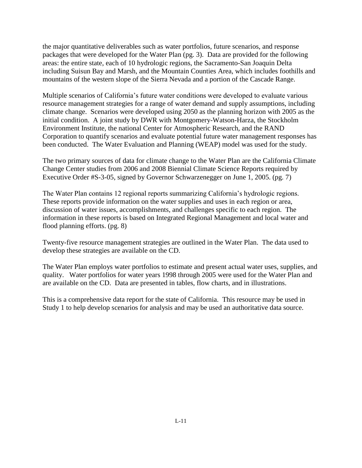the major quantitative deliverables such as water portfolios, future scenarios, and response packages that were developed for the Water Plan (pg. 3). Data are provided for the following areas: the entire state, each of 10 hydrologic regions, the Sacramento-San Joaquin Delta including Suisun Bay and Marsh, and the Mountain Counties Area, which includes foothills and mountains of the western slope of the Sierra Nevada and a portion of the Cascade Range.

Multiple scenarios of California's future water conditions were developed to evaluate various resource management strategies for a range of water demand and supply assumptions, including climate change. Scenarios were developed using 2050 as the planning horizon with 2005 as the initial condition. A joint study by DWR with Montgomery-Watson-Harza, the Stockholm Environment Institute, the national Center for Atmospheric Research, and the RAND Corporation to quantify scenarios and evaluate potential future water management responses has been conducted. The Water Evaluation and Planning (WEAP) model was used for the study.

The two primary sources of data for climate change to the Water Plan are the California Climate Change Center studies from 2006 and 2008 Biennial Climate Science Reports required by Executive Order #S-3-05, signed by Governor Schwarzenegger on June 1, 2005. (pg. 7)

The Water Plan contains 12 regional reports summarizing California's hydrologic regions. These reports provide information on the water supplies and uses in each region or area, discussion of water issues, accomplishments, and challenges specific to each region. The information in these reports is based on Integrated Regional Management and local water and flood planning efforts. (pg. 8)

Twenty-five resource management strategies are outlined in the Water Plan. The data used to develop these strategies are available on the CD.

The Water Plan employs water portfolios to estimate and present actual water uses, supplies, and quality. Water portfolios for water years 1998 through 2005 were used for the Water Plan and are available on the CD. Data are presented in tables, flow charts, and in illustrations.

This is a comprehensive data report for the state of California. This resource may be used in Study 1 to help develop scenarios for analysis and may be used an authoritative data source.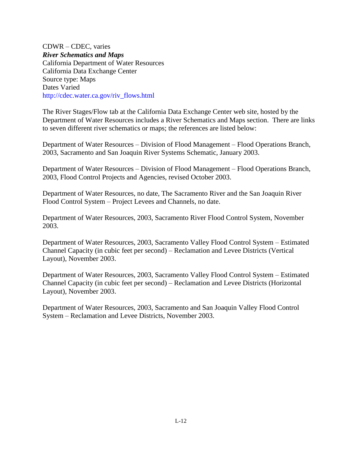CDWR – CDEC, varies *River Schematics and Maps* California Department of Water Resources California Data Exchange Center Source type: Maps Dates Varied http://cdec.water.ca.gov/riv\_flows.html

The River Stages/Flow tab at the California Data Exchange Center web site, hosted by the Department of Water Resources includes a River Schematics and Maps section. There are links to seven different river schematics or maps; the references are listed below:

Department of Water Resources – Division of Flood Management – Flood Operations Branch, 2003, Sacramento and San Joaquin River Systems Schematic, January 2003.

Department of Water Resources – Division of Flood Management – Flood Operations Branch, 2003, Flood Control Projects and Agencies, revised October 2003.

Department of Water Resources, no date, The Sacramento River and the San Joaquin River Flood Control System – Project Levees and Channels, no date.

Department of Water Resources, 2003, Sacramento River Flood Control System, November 2003.

Department of Water Resources, 2003, Sacramento Valley Flood Control System – Estimated Channel Capacity (in cubic feet per second) – Reclamation and Levee Districts (Vertical Layout), November 2003.

Department of Water Resources, 2003, Sacramento Valley Flood Control System – Estimated Channel Capacity (in cubic feet per second) – Reclamation and Levee Districts (Horizontal Layout), November 2003.

Department of Water Resources, 2003, Sacramento and San Joaquin Valley Flood Control System – Reclamation and Levee Districts, November 2003.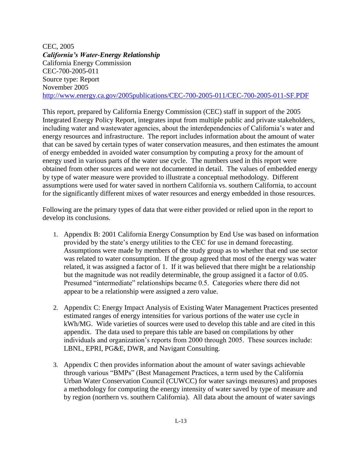CEC, 2005 *California's Water-Energy Relationship* California Energy Commission CEC-700-2005-011 Source type: Report November 2005 <http://www.energy.ca.gov/2005publications/CEC-700-2005-011/CEC-700-2005-011-SF.PDF>

This report, prepared by California Energy Commission (CEC) staff in support of the 2005 Integrated Energy Policy Report, integrates input from multiple public and private stakeholders, including water and wastewater agencies, about the interdependencies of California's water and energy resources and infrastructure. The report includes information about the amount of water that can be saved by certain types of water conservation measures, and then estimates the amount of energy embedded in avoided water consumption by computing a proxy for the amount of energy used in various parts of the water use cycle. The numbers used in this report were obtained from other sources and were not documented in detail. The values of embedded energy by type of water measure were provided to illustrate a conceptual methodology. Different assumptions were used for water saved in northern California vs. southern California, to account for the significantly different mixes of water resources and energy embedded in those resources.

Following are the primary types of data that were either provided or relied upon in the report to develop its conclusions.

- 1. Appendix B: 2001 California Energy Consumption by End Use was based on information provided by the state's energy utilities to the CEC for use in demand forecasting. Assumptions were made by members of the study group as to whether that end use sector was related to water consumption. If the group agreed that most of the energy was water related, it was assigned a factor of 1. If it was believed that there might be a relationship but the magnitude was not readily determinable, the group assigned it a factor of 0.05. Presumed "intermediate" relationships became 0.5. Categories where there did not appear to be a relationship were assigned a zero value.
- 2. Appendix C: Energy Impact Analysis of Existing Water Management Practices presented estimated ranges of energy intensities for various portions of the water use cycle in kWh/MG. Wide varieties of sources were used to develop this table and are cited in this appendix. The data used to prepare this table are based on compilations by other individuals and organization's reports from 2000 through 2005. These sources include: LBNL, EPRI, PG&E, DWR, and Navigant Consulting.
- 3. Appendix C then provides information about the amount of water savings achievable through various "BMPs" (Best Management Practices, a term used by the California Urban Water Conservation Council (CUWCC) for water savings measures) and proposes a methodology for computing the energy intensity of water saved by type of measure and by region (northern vs. southern California). All data about the amount of water savings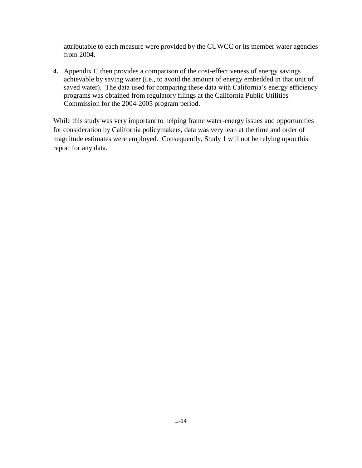attributable to each measure were provided by the CUWCC or its member water agencies from 2004.

**4.** Appendix C then provides a comparison of the cost-effectiveness of energy savings achievable by saving water (i.e., to avoid the amount of energy embedded in that unit of saved water). The data used for comparing these data with California's energy efficiency programs was obtained from regulatory filings at the California Public Utilities Commission for the 2004-2005 program period.

While this study was very important to helping frame water-energy issues and opportunities for consideration by California policymakers, data was very lean at the time and order of magnitude estimates were employed. Consequently, Study 1 will not be relying upon this report for any data.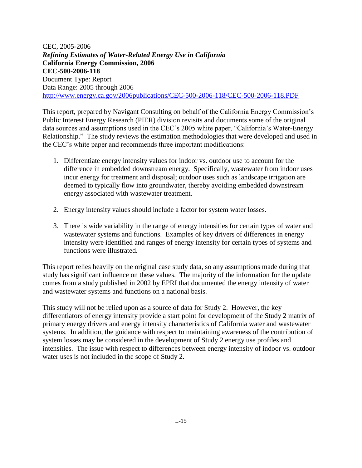CEC, 2005-2006 *Refining Estimates of Water-Related Energy Use in California* **California Energy Commission, 2006 CEC-500-2006-118** Document Type: Report Data Range: 2005 through 2006 <http://www.energy.ca.gov/2006publications/CEC-500-2006-118/CEC-500-2006-118.PDF>

This report, prepared by Navigant Consulting on behalf of the California Energy Commission's Public Interest Energy Research (PIER) division revisits and documents some of the original data sources and assumptions used in the CEC's 2005 white paper, "California's Water-Energy Relationship." The study reviews the estimation methodologies that were developed and used in the CEC's white paper and recommends three important modifications:

- 1. Differentiate energy intensity values for indoor vs. outdoor use to account for the difference in embedded downstream energy. Specifically, wastewater from indoor uses incur energy for treatment and disposal; outdoor uses such as landscape irrigation are deemed to typically flow into groundwater, thereby avoiding embedded downstream energy associated with wastewater treatment.
- 2. Energy intensity values should include a factor for system water losses.
- 3. There is wide variability in the range of energy intensities for certain types of water and wastewater systems and functions. Examples of key drivers of differences in energy intensity were identified and ranges of energy intensity for certain types of systems and functions were illustrated.

This report relies heavily on the original case study data, so any assumptions made during that study has significant influence on these values. The majority of the information for the update comes from a study published in 2002 by EPRI that documented the energy intensity of water and wastewater systems and functions on a national basis.

This study will not be relied upon as a source of data for Study 2. However, the key differentiators of energy intensity provide a start point for development of the Study 2 matrix of primary energy drivers and energy intensity characteristics of California water and wastewater systems. In addition, the guidance with respect to maintaining awareness of the contribution of system losses may be considered in the development of Study 2 energy use profiles and intensities. The issue with respect to differences between energy intensity of indoor vs. outdoor water uses is not included in the scope of Study 2.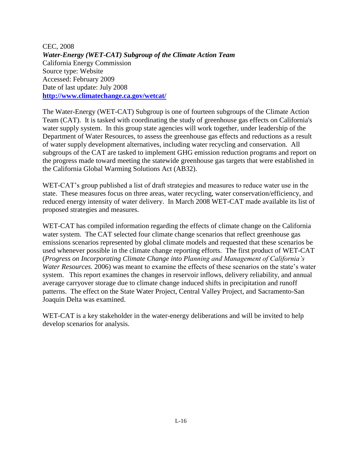CEC, 2008 *Water-Energy (WET-CAT) Subgroup of the Climate Action Team* California Energy Commission Source type: Website Accessed: February 2009 Date of last update: July 2008 **<http://www.climatechange.ca.gov/wetcat/>**

The Water-Energy (WET-CAT) Subgroup is one of fourteen subgroups of the Climate Action Team (CAT). It is tasked with coordinating the study of greenhouse gas effects on California's water supply system. In this group state agencies will work together, under leadership of the Department of Water Resources, to assess the greenhouse gas effects and reductions as a result of water supply development alternatives, including water recycling and conservation. All subgroups of the CAT are tasked to implement GHG emission reduction programs and report on the progress made toward meeting the statewide greenhouse gas targets that were established in the California Global Warming Solutions Act (AB32).

WET-CAT's group published a list of draft strategies and measures to reduce water use in the state. These measures focus on three areas, water recycling, water conservation/efficiency, and reduced energy intensity of water delivery. In March 2008 WET-CAT made available its list of proposed strategies and measures.

WET-CAT has compiled information regarding the effects of climate change on the California water system. The CAT selected four climate change scenarios that reflect greenhouse gas emissions scenarios represented by global climate models and requested that these scenarios be used whenever possible in the climate change reporting efforts. The first product of WET-CAT (*Progress on Incorporating Climate Change into Planning and Management of California's Water Resources.* 2006) was meant to examine the effects of these scenarios on the state's water system. This report examines the changes in reservoir inflows, delivery reliability, and annual average carryover storage due to climate change induced shifts in precipitation and runoff patterns. The effect on the State Water Project, Central Valley Project, and Sacramento-San Joaquin Delta was examined.

WET-CAT is a key stakeholder in the water-energy deliberations and will be invited to help develop scenarios for analysis.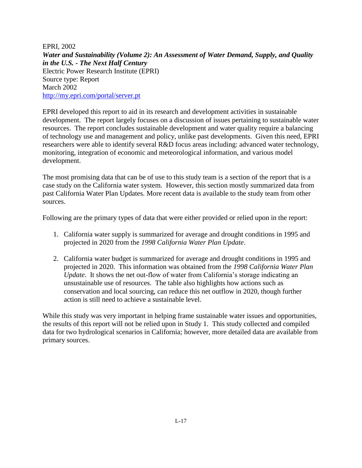EPRI, 2002 *Water and Sustainability (Volume 2): An Assessment of Water Demand, Supply, and Quality in the U.S. - The Next Half Century* Electric Power Research Institute (EPRI) Source type: Report March 2002 <http://my.epri.com/portal/server.pt>

EPRI developed this report to aid in its research and development activities in sustainable development. The report largely focuses on a discussion of issues pertaining to sustainable water resources. The report concludes sustainable development and water quality require a balancing of technology use and management and policy, unlike past developments. Given this need, EPRI researchers were able to identify several R&D focus areas including: advanced water technology, monitoring, integration of economic and meteorological information, and various model development.

The most promising data that can be of use to this study team is a section of the report that is a case study on the California water system. However, this section mostly summarized data from past California Water Plan Updates. More recent data is available to the study team from other sources.

Following are the primary types of data that were either provided or relied upon in the report:

- 1. California water supply is summarized for average and drought conditions in 1995 and projected in 2020 from the *1998 California Water Plan Update*.
- 2. California water budget is summarized for average and drought conditions in 1995 and projected in 2020. This information was obtained from the *1998 California Water Plan Update*. It shows the net out-flow of water from California's storage indicating an unsustainable use of resources. The table also highlights how actions such as conservation and local sourcing, can reduce this net outflow in 2020, though further action is still need to achieve a sustainable level.

While this study was very important in helping frame sustainable water issues and opportunities, the results of this report will not be relied upon in Study 1. This study collected and compiled data for two hydrological scenarios in California; however, more detailed data are available from primary sources.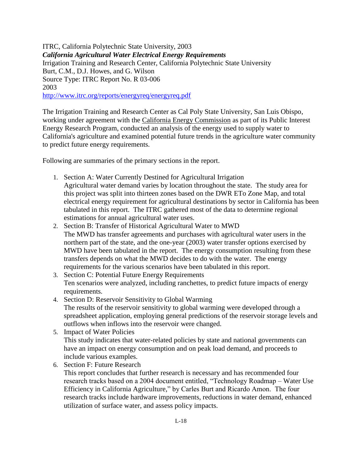ITRC, California Polytechnic State University, 2003 *California Agricultural Water Electrical Energy Requirements* Irrigation Training and Research Center, California Polytechnic State University Burt, C.M., D.J. Howes, and G. Wilson Source Type: ITRC Report No. R 03-006 2003 <http://www.itrc.org/reports/energyreq/energyreq.pdf>

The Irrigation Training and Research Center as Cal Poly State University, San Luis Obispo, working under agreement with the [California Energy Commission](http://www.energy.ca.gov/) as part of its Public Interest Energy Research Program, conducted an analysis of the energy used to supply water to California's agriculture and examined potential future trends in the agriculture water community to predict future energy requirements.

Following are summaries of the primary sections in the report.

- 1. Section A: Water Currently Destined for Agricultural Irrigation Agricultural water demand varies by location throughout the state. The study area for this project was split into thirteen zones based on the DWR ETo Zone Map, and total electrical energy requirement for agricultural destinations by sector in California has been tabulated in this report. The ITRC gathered most of the data to determine regional estimations for annual agricultural water uses.
- 2. Section B: Transfer of Historical Agricultural Water to MWD The MWD has transfer agreements and purchases with agricultural water users in the northern part of the state, and the one-year (2003) water transfer options exercised by MWD have been tabulated in the report. The energy consumption resulting from these transfers depends on what the MWD decides to do with the water. The energy requirements for the various scenarios have been tabulated in this report.
- 3. Section C: Potential Future Energy Requirements Ten scenarios were analyzed, including ranchettes, to predict future impacts of energy requirements.
- 4. Section D: Reservoir Sensitivity to Global Warming The results of the reservoir sensitivity to global warming were developed through a spreadsheet application, employing general predictions of the reservoir storage levels and outflows when inflows into the reservoir were changed.
- 5. Impact of Water Policies This study indicates that water-related policies by state and national governments can have an impact on energy consumption and on peak load demand, and proceeds to include various examples.
- 6. Section F: Future Research

This report concludes that further research is necessary and has recommended four research tracks based on a 2004 document entitled, "Technology Roadmap – Water Use Efficiency in California Agriculture," by Carles Burt and Ricardo Amon. The four research tracks include hardware improvements, reductions in water demand, enhanced utilization of surface water, and assess policy impacts.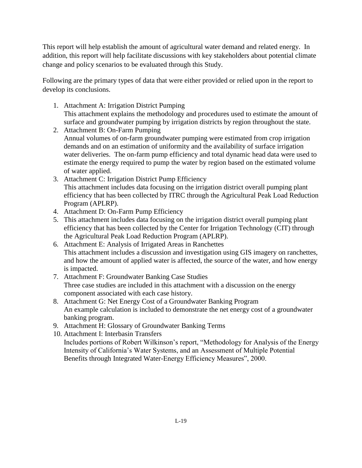This report will help establish the amount of agricultural water demand and related energy. In addition, this report will help facilitate discussions with key stakeholders about potential climate change and policy scenarios to be evaluated through this Study.

Following are the primary types of data that were either provided or relied upon in the report to develop its conclusions.

- 1. Attachment A: Irrigation District Pumping This attachment explains the methodology and procedures used to estimate the amount of surface and groundwater pumping by irrigation districts by region throughout the state.
- 2. Attachment B: On-Farm Pumping Annual volumes of on-farm groundwater pumping were estimated from crop irrigation demands and on an estimation of uniformity and the availability of surface irrigation water deliveries. The on-farm pump efficiency and total dynamic head data were used to estimate the energy required to pump the water by region based on the estimated volume of water applied.
- 3. Attachment C: Irrigation District Pump Efficiency This attachment includes data focusing on the irrigation district overall pumping plant efficiency that has been collected by ITRC through the Agricultural Peak Load Reduction Program (APLRP).
- 4. Attachment D: On-Farm Pump Efficiency
- 5. This attachment includes data focusing on the irrigation district overall pumping plant efficiency that has been collected by the Center for Irrigation Technology (CIT) through the Agricultural Peak Load Reduction Program (APLRP).
- 6. Attachment E: Analysis of Irrigated Areas in Ranchettes This attachment includes a discussion and investigation using GIS imagery on ranchettes, and how the amount of applied water is affected, the source of the water, and how energy is impacted.
- 7. Attachment F: Groundwater Banking Case Studies Three case studies are included in this attachment with a discussion on the energy component associated with each case history.
- 8. Attachment G: Net Energy Cost of a Groundwater Banking Program An example calculation is included to demonstrate the net energy cost of a groundwater banking program.
- 9. Attachment H: Glossary of Groundwater Banking Terms
- 10. Attachment I: Interbasin Transfers Includes portions of Robert Wilkinson's report, "Methodology for Analysis of the Energy Intensity of California's Water Systems, and an Assessment of Multiple Potential Benefits through Integrated Water-Energy Efficiency Measures", 2000.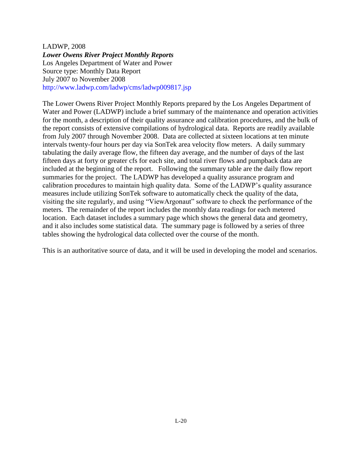LADWP, 2008 *Lower Owens River Project Monthly Reports* Los Angeles Department of Water and Power Source type: Monthly Data Report July 2007 to November 2008 http://www.ladwp.com/ladwp/cms/ladwp009817.jsp

The Lower Owens River Project Monthly Reports prepared by the Los Angeles Department of Water and Power (LADWP) include a brief summary of the maintenance and operation activities for the month, a description of their quality assurance and calibration procedures, and the bulk of the report consists of extensive compilations of hydrological data. Reports are readily available from July 2007 through November 2008. Data are collected at sixteen locations at ten minute intervals twenty-four hours per day via SonTek area velocity flow meters. A daily summary tabulating the daily average flow, the fifteen day average, and the number of days of the last fifteen days at forty or greater cfs for each site, and total river flows and pumpback data are included at the beginning of the report. Following the summary table are the daily flow report summaries for the project. The LADWP has developed a quality assurance program and calibration procedures to maintain high quality data. Some of the LADWP's quality assurance measures include utilizing SonTek software to automatically check the quality of the data, visiting the site regularly, and using "ViewArgonaut" software to check the performance of the meters. The remainder of the report includes the monthly data readings for each metered location. Each dataset includes a summary page which shows the general data and geometry, and it also includes some statistical data. The summary page is followed by a series of three tables showing the hydrological data collected over the course of the month.

This is an authoritative source of data, and it will be used in developing the model and scenarios.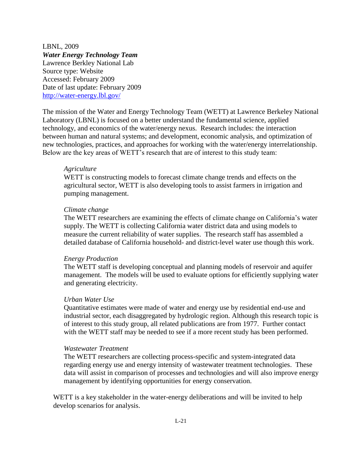LBNL, 2009 *Water Energy Technology Team* Lawrence Berkley National Lab Source type: Website Accessed: February 2009 Date of last update: February 2009 <http://water-energy.lbl.gov/>

The mission of the Water and Energy Technology Team (WETT) at Lawrence Berkeley National Laboratory (LBNL) is focused on a better understand the fundamental science, applied technology, and economics of the water/energy nexus. Research includes: the interaction between human and natural systems; and development, economic analysis, and optimization of new technologies, practices, and approaches for working with the water/energy interrelationship. Below are the key areas of WETT's research that are of interest to this study team:

#### *Agriculture*

WETT is constructing models to forecast climate change trends and effects on the agricultural sector, WETT is also developing tools to assist farmers in irrigation and pumping management.

#### *Climate change*

The WETT researchers are examining the effects of climate change on California's water supply. The WETT is collecting California water district data and using models to measure the current reliability of water supplies. The research staff has assembled a detailed database of California household- and district-level water use though this work.

#### *Energy Production*

The WETT staff is developing conceptual and planning models of reservoir and aquifer management. The models will be used to evaluate options for efficiently supplying water and generating electricity.

#### *Urban Water Use*

Quantitative estimates were made of water and energy use by residential end-use and industrial sector, each disaggregated by hydrologic region. Although this research topic is of interest to this study group, all related publications are from 1977. Further contact with the WETT staff may be needed to see if a more recent study has been performed.

#### *Wastewater Treatment*

The WETT researchers are collecting process-specific and system-integrated data regarding energy use and energy intensity of wastewater treatment technologies. These data will assist in comparison of processes and technologies and will also improve energy management by identifying opportunities for energy conservation.

WETT is a key stakeholder in the water-energy deliberations and will be invited to help develop scenarios for analysis.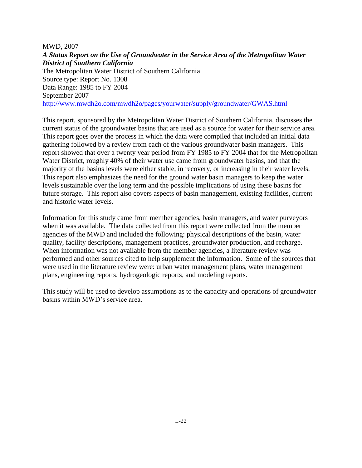MWD, 2007 *A Status Report on the Use of Groundwater in the Service Area of the Metropolitan Water District of Southern California* The Metropolitan Water District of Southern California Source type: Report No. 1308 Data Range: 1985 to FY 2004 September 2007 <http://www.mwdh2o.com/mwdh2o/pages/yourwater/supply/groundwater/GWAS.html>

This report, sponsored by the Metropolitan Water District of Southern California, discusses the current status of the groundwater basins that are used as a source for water for their service area. This report goes over the process in which the data were compiled that included an initial data gathering followed by a review from each of the various groundwater basin managers. This report showed that over a twenty year period from FY 1985 to FY 2004 that for the Metropolitan Water District, roughly 40% of their water use came from groundwater basins, and that the majority of the basins levels were either stable, in recovery, or increasing in their water levels. This report also emphasizes the need for the ground water basin managers to keep the water levels sustainable over the long term and the possible implications of using these basins for future storage. This report also covers aspects of basin management, existing facilities, current and historic water levels.

Information for this study came from member agencies, basin managers, and water purveyors when it was available. The data collected from this report were collected from the member agencies of the MWD and included the following: physical descriptions of the basin, water quality, facility descriptions, management practices, groundwater production, and recharge. When information was not available from the member agencies, a literature review was performed and other sources cited to help supplement the information. Some of the sources that were used in the literature review were: urban water management plans, water management plans, engineering reports, hydrogeologic reports, and modeling reports.

This study will be used to develop assumptions as to the capacity and operations of groundwater basins within MWD's service area.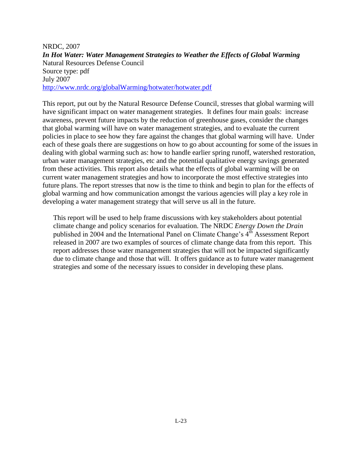NRDC, 2007 *In Hot Water: Water Management Strategies to Weather the Effects of Global Warming* Natural Resources Defense Council Source type: pdf July 2007 <http://www.nrdc.org/globalWarming/hotwater/hotwater.pdf>

This report, put out by the Natural Resource Defense Council, stresses that global warming will have significant impact on water management strategies. It defines four main goals: increase awareness, prevent future impacts by the reduction of greenhouse gases, consider the changes that global warming will have on water management strategies, and to evaluate the current policies in place to see how they fare against the changes that global warming will have. Under each of these goals there are suggestions on how to go about accounting for some of the issues in dealing with global warming such as: how to handle earlier spring runoff, watershed restoration, urban water management strategies, etc and the potential qualitative energy savings generated from these activities. This report also details what the effects of global warming will be on current water management strategies and how to incorporate the most effective strategies into future plans. The report stresses that now is the time to think and begin to plan for the effects of global warming and how communication amongst the various agencies will play a key role in developing a water management strategy that will serve us all in the future.

This report will be used to help frame discussions with key stakeholders about potential climate change and policy scenarios for evaluation. The NRDC *Energy Down the Drain* published in 2004 and the International Panel on Climate Change's  $4^{\tilde{th}}$  Assessment Report released in 2007 are two examples of sources of climate change data from this report. This report addresses those water management strategies that will not be impacted significantly due to climate change and those that will. It offers guidance as to future water management strategies and some of the necessary issues to consider in developing these plans.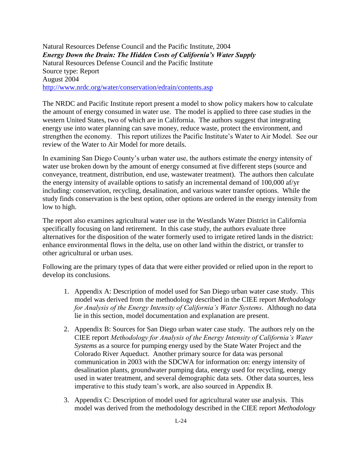Natural Resources Defense Council and the Pacific Institute, 2004 *Energy Down the Drain: The Hidden Costs of California's Water Supply*  Natural Resources Defense Council and the Pacific Institute Source type: Report August 2004 <http://www.nrdc.org/water/conservation/edrain/contents.asp>

The NRDC and Pacific Institute report present a model to show policy makers how to calculate the amount of energy consumed in water use. The model is applied to three case studies in the western United States, two of which are in California. The authors suggest that integrating energy use into water planning can save money, reduce waste, protect the environment, and strengthen the economy. This report utilizes the Pacific Institute's Water to Air Model. See our review of the Water to Air Model for more details.

In examining San Diego County's urban water use, the authors estimate the energy intensity of water use broken down by the amount of energy consumed at five different steps (source and conveyance, treatment, distribution, end use, wastewater treatment). The authors then calculate the energy intensity of available options to satisfy an incremental demand of 100,000 af/yr including: conservation, recycling, desalination, and various water transfer options. While the study finds conservation is the best option, other options are ordered in the energy intensity from low to high.

The report also examines agricultural water use in the Westlands Water District in California specifically focusing on land retirement. In this case study, the authors evaluate three alternatives for the disposition of the water formerly used to irrigate retired lands in the district: enhance environmental flows in the delta, use on other land within the district, or transfer to other agricultural or urban uses.

Following are the primary types of data that were either provided or relied upon in the report to develop its conclusions.

- 1. Appendix A: Description of model used for San Diego urban water case study. This model was derived from the methodology described in the CIEE report *Methodology for Analysis of the Energy Intensity of California's Water Systems*. Although no data lie in this section, model documentation and explanation are present.
- 2. Appendix B: Sources for San Diego urban water case study. The authors rely on the CIEE report *Methodology for Analysis of the Energy Intensity of California's Water Systems* as a source for pumping energy used by the State Water Project and the Colorado River Aqueduct. Another primary source for data was personal communication in 2003 with the SDCWA for information on: energy intensity of desalination plants, groundwater pumping data, energy used for recycling, energy used in water treatment, and several demographic data sets. Other data sources, less imperative to this study team's work, are also sourced in Appendix B.
- 3. Appendix C: Description of model used for agricultural water use analysis. This model was derived from the methodology described in the CIEE report *Methodology*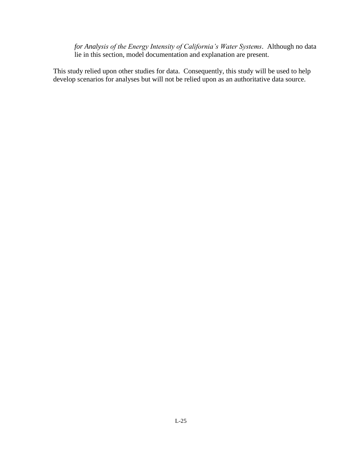*for Analysis of the Energy Intensity of California's Water Systems*. Although no data lie in this section, model documentation and explanation are present.

This study relied upon other studies for data. Consequently, this study will be used to help develop scenarios for analyses but will not be relied upon as an authoritative data source.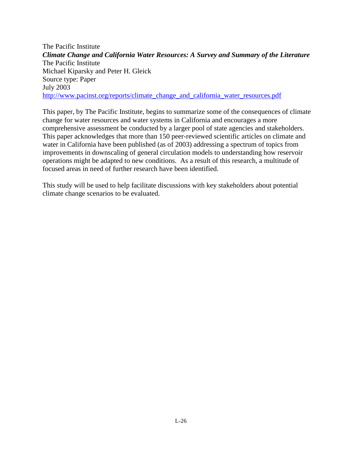The Pacific Institute *Climate Change and California Water Resources: A Survey and Summary of the Literature* The Pacific Institute Michael Kiparsky and Peter H. Gleick Source type: Paper July 2003 [http://www.pacinst.org/reports/climate\\_change\\_and\\_california\\_water\\_resources.pdf](http://www.pacinst.org/reports/climate_change_and_california_water_resources.pdf)

This paper, by The Pacific Institute, begins to summarize some of the consequences of climate change for water resources and water systems in California and encourages a more comprehensive assessment be conducted by a larger pool of state agencies and stakeholders. This paper acknowledges that more than 150 peer-reviewed scientific articles on climate and water in California have been published (as of 2003) addressing a spectrum of topics from improvements in downscaling of general circulation models to understanding how reservoir operations might be adapted to new conditions. As a result of this research, a multitude of focused areas in need of further research have been identified.

This study will be used to help facilitate discussions with key stakeholders about potential climate change scenarios to be evaluated.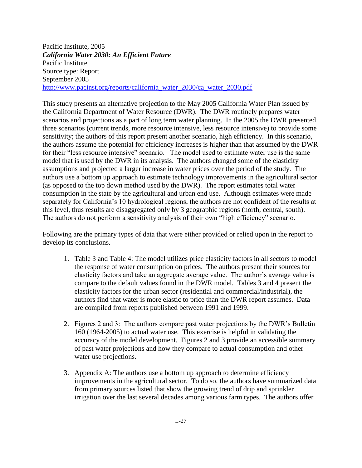Pacific Institute, 2005 *California Water 2030: An Efficient Future* Pacific Institute Source type: Report September 2005 [http://www.pacinst.org/reports/california\\_water\\_2030/ca\\_water\\_2030.pdf](http://www.pacinst.org/reports/california_water_2030/ca_water_2030.pdf)

This study presents an alternative projection to the May 2005 California Water Plan issued by the California Department of Water Resource (DWR). The DWR routinely prepares water scenarios and projections as a part of long term water planning. In the 2005 the DWR presented three scenarios (current trends, more resource intensive, less resource intensive) to provide some sensitivity; the authors of this report present another scenario, high efficiency. In this scenario, the authors assume the potential for efficiency increases is higher than that assumed by the DWR for their "less resource intensive" scenario. The model used to estimate water use is the same model that is used by the DWR in its analysis. The authors changed some of the elasticity assumptions and projected a larger increase in water prices over the period of the study. The authors use a bottom up approach to estimate technology improvements in the agricultural sector (as opposed to the top down method used by the DWR). The report estimates total water consumption in the state by the agricultural and urban end use. Although estimates were made separately for California's 10 hydrological regions, the authors are not confident of the results at this level, thus results are disaggregated only by 3 geographic regions (north, central, south). The authors do not perform a sensitivity analysis of their own "high efficiency" scenario.

Following are the primary types of data that were either provided or relied upon in the report to develop its conclusions.

- 1. Table 3 and Table 4: The model utilizes price elasticity factors in all sectors to model the response of water consumption on prices. The authors present their sources for elasticity factors and take an aggregate average value. The author's average value is compare to the default values found in the DWR model. Tables 3 and 4 present the elasticity factors for the urban sector (residential and commercial/industrial), the authors find that water is more elastic to price than the DWR report assumes. Data are compiled from reports published between 1991 and 1999.
- 2. Figures 2 and 3: The authors compare past water projections by the DWR's Bulletin 160 (1964-2005) to actual water use. This exercise is helpful in validating the accuracy of the model development. Figures 2 and 3 provide an accessible summary of past water projections and how they compare to actual consumption and other water use projections.
- 3. Appendix A: The authors use a bottom up approach to determine efficiency improvements in the agricultural sector. To do so, the authors have summarized data from primary sources listed that show the growing trend of drip and sprinkler irrigation over the last several decades among various farm types. The authors offer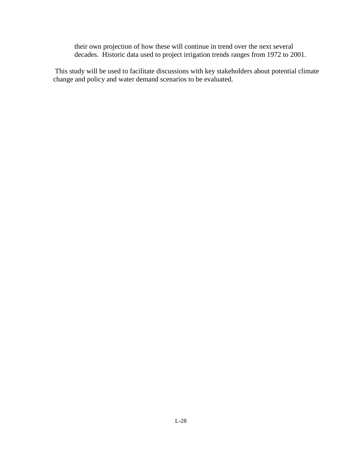their own projection of how these will continue in trend over the next several decades. Historic data used to project irrigation trends ranges from 1972 to 2001.

This study will be used to facilitate discussions with key stakeholders about potential climate change and policy and water demand scenarios to be evaluated.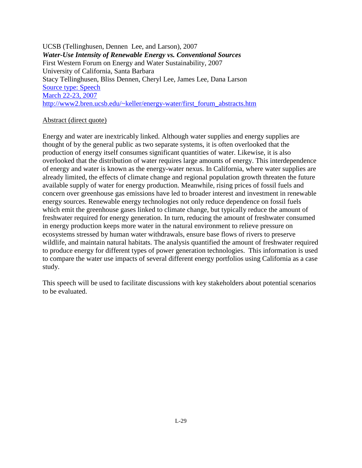UCSB (Tellinghusen, Dennen Lee, and Larson), 2007 *Water-Use Intensity of Renewable Energy vs. Conventional Sources* First Western Forum on Energy and Water Sustainability, 2007 University of California, Santa Barbara Stacy Tellinghusen, Bliss Dennen, Cheryl Lee, James Lee, Dana Larson [Source type: Speech](file:///C:/Documents%20and%20Settings/cwhite/Desktop/Working%20File/CIEE%20Embedded%20Energy/Source%20type:%20SpeechMarch%2022-23,%202007http:/www2.bren.ucsb.edu/~keller/energy-water/first_forum_abstracts.htm) [March 22-23, 2007](file:///C:/Documents%20and%20Settings/cwhite/Desktop/Working%20File/CIEE%20Embedded%20Energy/Source%20type:%20SpeechMarch%2022-23,%202007http:/www2.bren.ucsb.edu/~keller/energy-water/first_forum_abstracts.htm) [http://www2.bren.ucsb.edu/~keller/energy-water/first\\_forum\\_abstracts.htm](file:///C:/Documents%20and%20Settings/cwhite/Desktop/Working%20File/CIEE%20Embedded%20Energy/Source%20type:%20SpeechMarch%2022-23,%202007http:/www2.bren.ucsb.edu/~keller/energy-water/first_forum_abstracts.htm)

## Abstract (direct quote)

Energy and water are inextricably linked. Although water supplies and energy supplies are thought of by the general public as two separate systems, it is often overlooked that the production of energy itself consumes significant quantities of water. Likewise, it is also overlooked that the distribution of water requires large amounts of energy. This interdependence of energy and water is known as the energy-water nexus. In California, where water supplies are already limited, the effects of climate change and regional population growth threaten the future available supply of water for energy production. Meanwhile, rising prices of fossil fuels and concern over greenhouse gas emissions have led to broader interest and investment in renewable energy sources. Renewable energy technologies not only reduce dependence on fossil fuels which emit the greenhouse gases linked to climate change, but typically reduce the amount of freshwater required for energy generation. In turn, reducing the amount of freshwater consumed in energy production keeps more water in the natural environment to relieve pressure on ecosystems stressed by human water withdrawals, ensure base flows of rivers to preserve wildlife, and maintain natural habitats. The analysis quantified the amount of freshwater required to produce energy for different types of power generation technologies. This information is used to compare the water use impacts of several different energy portfolios using California as a case study.

This speech will be used to facilitate discussions with key stakeholders about potential scenarios to be evaluated.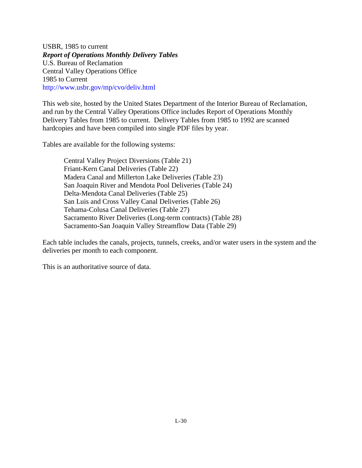USBR, 1985 to current *Report of Operations Monthly Delivery Tables* U.S. Bureau of Reclamation Central Valley Operations Office 1985 to Current http://www.usbr.gov/mp/cvo/deliv.html

This web site, hosted by the United States Department of the Interior Bureau of Reclamation, and run by the Central Valley Operations Office includes Report of Operations Monthly Delivery Tables from 1985 to current. Delivery Tables from 1985 to 1992 are scanned hardcopies and have been compiled into single PDF files by year.

Tables are available for the following systems:

Central Valley Project Diversions (Table 21) Friant-Kern Canal Deliveries (Table 22) Madera Canal and Millerton Lake Deliveries (Table 23) San Joaquin River and Mendota Pool Deliveries (Table 24) Delta-Mendota Canal Deliveries (Table 25) San Luis and Cross Valley Canal Deliveries (Table 26) Tehama-Colusa Canal Deliveries (Table 27) Sacramento River Deliveries (Long-term contracts) (Table 28) Sacramento-San Joaquin Valley Streamflow Data (Table 29)

Each table includes the canals, projects, tunnels, creeks, and/or water users in the system and the deliveries per month to each component.

This is an authoritative source of data.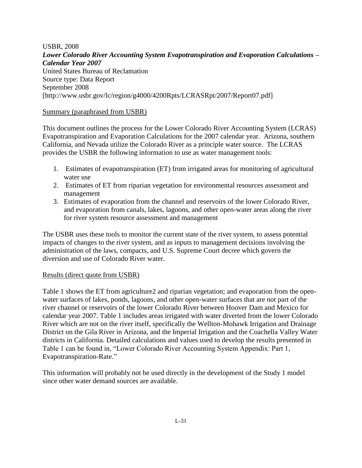USBR, 2008 *Lower Colorado River Accounting System Evapotranspiration and Evaporation Calculations – Calendar Year 2007* United States Bureau of Reclamation Source type: Data Report September 2008 [http://www.usbr.gov/lc/region/g4000/4200Rpts/LCRASRpt/2007/Report07.pdf]

## Summary (paraphrased from USBR)

This document outlines the process for the Lower Colorado River Accounting System (LCRAS) Evapotranspiration and Evaporation Calculations for the 2007 calendar year. Arizona, southern California, and Nevada utilize the Colorado River as a principle water source. The LCRAS provides the USBR the following information to use as water management tools:

- 1. Estimates of evapotranspiration (ET) from irrigated areas for monitoring of agricultural water use
- 2. Estimates of ET from riparian vegetation for environmental resources assessment and management
- 3. Estimates of evaporation from the channel and reservoirs of the lower Colorado River, and evaporation from canals, lakes, lagoons, and other open-water areas along the river for river system resource assessment and management

The USBR uses these tools to monitor the current state of the river system, to assess potential impacts of changes to the river system, and as inputs to management decisions involving the administration of the laws, compacts, and U.S. Supreme Court decree which govern the diversion and use of Colorado River water.

## Results (direct quote from USBR)

Table 1 shows the ET from agriculture2 and riparian vegetation; and evaporation from the openwater surfaces of lakes, ponds, lagoons, and other open-water surfaces that are not part of the river channel or reservoirs of the lower Colorado River between Hoover Dam and Mexico for calendar year 2007. Table 1 includes areas irrigated with water diverted from the lower Colorado River which are not on the river itself, specifically the Wellton-Mohawk Irrigation and Drainage District on the Gila River in Arizona, and the Imperial Irrigation and the Coachella Valley Water districts in California. Detailed calculations and values used to develop the results presented in Table 1 can be found in, "Lower Colorado River Accounting System Appendix: Part 1, Evapotranspiration-Rate."

This information will probably not be used directly in the development of the Study 1 model since other water demand sources are available.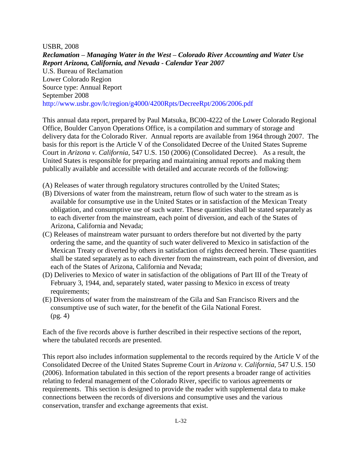USBR, 2008 *Reclamation – Managing Water in the West – Colorado River Accounting and Water Use Report Arizona, California, and Nevada - Calendar Year 2007* U.S. Bureau of Reclamation Lower Colorado Region Source type: Annual Report September 2008 http://www.usbr.gov/lc/region/g4000/4200Rpts/DecreeRpt/2006/2006.pdf

This annual data report, prepared by Paul Matsuka, BC00-4222 of the Lower Colorado Regional Office, Boulder Canyon Operations Office, is a compilation and summary of storage and delivery data for the Colorado River. Annual reports are available from 1964 through 2007. The basis for this report is the Article V of the Consolidated Decree of the United States Supreme Court in *Arizona v. California*, 547 U.S. 150 (2006) (Consolidated Decree). As a result, the United States is responsible for preparing and maintaining annual reports and making them publically available and accessible with detailed and accurate records of the following:

- (A) Releases of water through regulatory structures controlled by the United States;
- (B) Diversions of water from the mainstream, return flow of such water to the stream as is available for consumptive use in the United States or in satisfaction of the Mexican Treaty obligation, and consumptive use of such water. These quantities shall be stated separately as to each diverter from the mainstream, each point of diversion, and each of the States of Arizona, California and Nevada;
- (C) Releases of mainstream water pursuant to orders therefore but not diverted by the party ordering the same, and the quantity of such water delivered to Mexico in satisfaction of the Mexican Treaty or diverted by others in satisfaction of rights decreed herein. These quantities shall be stated separately as to each diverter from the mainstream, each point of diversion, and each of the States of Arizona, California and Nevada;
- (D) Deliveries to Mexico of water in satisfaction of the obligations of Part III of the Treaty of February 3, 1944, and, separately stated, water passing to Mexico in excess of treaty requirements;
- (E) Diversions of water from the mainstream of the Gila and San Francisco Rivers and the consumptive use of such water, for the benefit of the Gila National Forest. (pg. 4)

Each of the five records above is further described in their respective sections of the report, where the tabulated records are presented.

This report also includes information supplemental to the records required by the Article V of the Consolidated Decree of the United States Supreme Court in *Arizona v. California*, 547 U.S. 150 (2006). Information tabulated in this section of the report presents a broader range of activities relating to federal management of the Colorado River, specific to various agreements or requirements. This section is designed to provide the reader with supplemental data to make connections between the records of diversions and consumptive uses and the various conservation, transfer and exchange agreements that exist.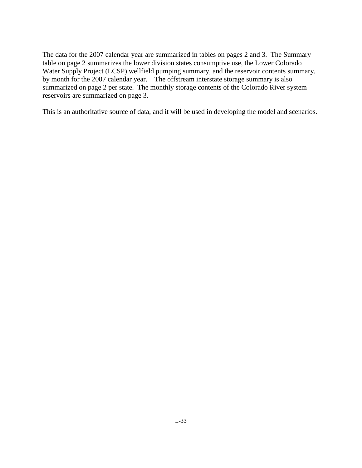The data for the 2007 calendar year are summarized in tables on pages 2 and 3. The Summary table on page 2 summarizes the lower division states consumptive use, the Lower Colorado Water Supply Project (LCSP) wellfield pumping summary, and the reservoir contents summary, by month for the 2007 calendar year. The offstream interstate storage summary is also summarized on page 2 per state. The monthly storage contents of the Colorado River system reservoirs are summarized on page 3.

This is an authoritative source of data, and it will be used in developing the model and scenarios.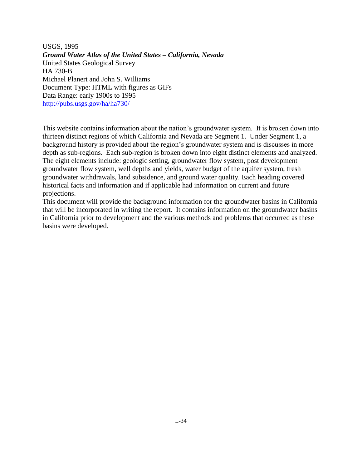USGS, 1995 *Ground Water Atlas of the United States – California, Nevada* United States Geological Survey HA 730-B Michael Planert and John S. Williams Document Type: HTML with figures as GIFs Data Range: early 1900s to 1995 http://pubs.usgs.gov/ha/ha730/

This website contains information about the nation's groundwater system. It is broken down into thirteen distinct regions of which California and Nevada are Segment 1. Under Segment 1, a background history is provided about the region's groundwater system and is discusses in more depth as sub-regions. Each sub-region is broken down into eight distinct elements and analyzed. The eight elements include: geologic setting, groundwater flow system, post development groundwater flow system, well depths and yields, water budget of the aquifer system, fresh groundwater withdrawals, land subsidence, and ground water quality. Each heading covered historical facts and information and if applicable had information on current and future projections.

This document will provide the background information for the groundwater basins in California that will be incorporated in writing the report. It contains information on the groundwater basins in California prior to development and the various methods and problems that occurred as these basins were developed.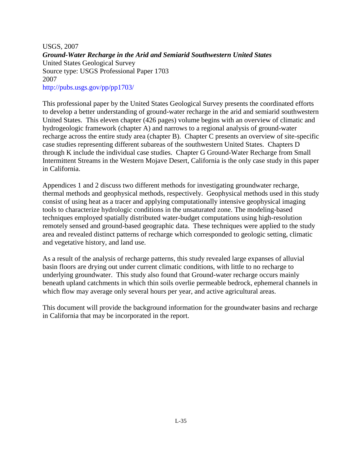USGS, 2007 *Ground-Water Recharge in the Arid and Semiarid Southwestern United States* United States Geological Survey Source type: USGS Professional Paper 1703 2007 http://pubs.usgs.gov/pp/pp1703/

This professional paper by the United States Geological Survey presents the coordinated efforts to develop a better understanding of ground-water recharge in the arid and semiarid southwestern United States. This eleven chapter (426 pages) volume begins with an overview of climatic and hydrogeologic framework (chapter A) and narrows to a regional analysis of ground-water recharge across the entire study area (chapter B). Chapter C presents an overview of site-specific case studies representing different subareas of the southwestern United States. Chapters D through K include the individual case studies. Chapter G Ground-Water Recharge from Small Intermittent Streams in the Western Mojave Desert, California is the only case study in this paper in California.

Appendices 1 and 2 discuss two different methods for investigating groundwater recharge, thermal methods and geophysical methods, respectively. Geophysical methods used in this study consist of using heat as a tracer and applying computationally intensive geophysical imaging tools to characterize hydrologic conditions in the unsaturated zone. The modeling-based techniques employed spatially distributed water-budget computations using high-resolution remotely sensed and ground-based geographic data. These techniques were applied to the study area and revealed distinct patterns of recharge which corresponded to geologic setting, climatic and vegetative history, and land use.

As a result of the analysis of recharge patterns, this study revealed large expanses of alluvial basin floors are drying out under current climatic conditions, with little to no recharge to underlying groundwater. This study also found that Ground-water recharge occurs mainly beneath upland catchments in which thin soils overlie permeable bedrock, ephemeral channels in which flow may average only several hours per year, and active agricultural areas.

This document will provide the background information for the groundwater basins and recharge in California that may be incorporated in the report.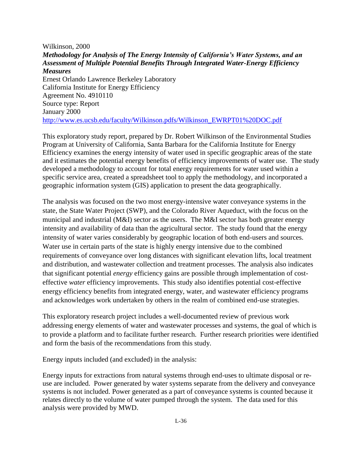Wilkinson, 2000 *Methodology for Analysis of The Energy Intensity of California's Water Systems, and an Assessment of Multiple Potential Benefits Through Integrated Water-Energy Efficiency Measures* Ernest Orlando Lawrence Berkeley Laboratory California Institute for Energy Efficiency Agreement No. 4910110 Source type: Report January 2000 [http://www.es.ucsb.edu/faculty/Wilkinson.pdfs/Wilkinson\\_EWRPT01%20DOC.pdf](http://www.es.ucsb.edu/faculty/Wilkinson.pdfs/Wilkinson_EWRPT01%20DOC.pdf)

This exploratory study report, prepared by Dr. Robert Wilkinson of the Environmental Studies Program at University of California, Santa Barbara for the California Institute for Energy Efficiency examines the energy intensity of water used in specific geographic areas of the state and it estimates the potential energy benefits of efficiency improvements of water use. The study developed a methodology to account for total energy requirements for water used within a specific service area, created a spreadsheet tool to apply the methodology, and incorporated a geographic information system (GIS) application to present the data geographically.

The analysis was focused on the two most energy-intensive water conveyance systems in the state, the State Water Project (SWP), and the Colorado River Aqueduct, with the focus on the municipal and industrial (M&I) sector as the users. The M&I sector has both greater energy intensity and availability of data than the agricultural sector. The study found that the energy intensity of water varies considerably by geographic location of both end-users and sources. Water use in certain parts of the state is highly energy intensive due to the combined requirements of conveyance over long distances with significant elevation lifts, local treatment and distribution, and wastewater collection and treatment processes. The analysis also indicates that significant potential *energy* efficiency gains are possible through implementation of costeffective *water* efficiency improvements. This study also identifies potential cost-effective energy efficiency benefits from integrated energy, water, and wastewater efficiency programs and acknowledges work undertaken by others in the realm of combined end-use strategies.

This exploratory research project includes a well-documented review of previous work addressing energy elements of water and wastewater processes and systems, the goal of which is to provide a platform and to facilitate further research. Further research priorities were identified and form the basis of the recommendations from this study.

Energy inputs included (and excluded) in the analysis:

Energy inputs for extractions from natural systems through end-uses to ultimate disposal or reuse are included. Power generated by water systems separate from the delivery and conveyance systems is not included. Power generated as a part of conveyance systems is counted because it relates directly to the volume of water pumped through the system. The data used for this analysis were provided by MWD.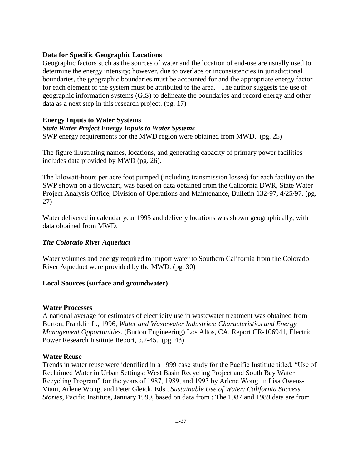### **Data for Specific Geographic Locations**

Geographic factors such as the sources of water and the location of end-use are usually used to determine the energy intensity; however, due to overlaps or inconsistencies in jurisdictional boundaries, the geographic boundaries must be accounted for and the appropriate energy factor for each element of the system must be attributed to the area. The author suggests the use of geographic information systems (GIS) to delineate the boundaries and record energy and other data as a next step in this research project. (pg. 17)

#### **Energy Inputs to Water Systems**

#### *State Water Project Energy Inputs to Water Systems*

SWP energy requirements for the MWD region were obtained from MWD. (pg. 25)

The figure illustrating names, locations, and generating capacity of primary power facilities includes data provided by MWD (pg. 26).

The kilowatt-hours per acre foot pumped (including transmission losses) for each facility on the SWP shown on a flowchart, was based on data obtained from the California DWR, State Water Project Analysis Office, Division of Operations and Maintenance, Bulletin 132-97, 4/25/97. (pg. 27)

Water delivered in calendar year 1995 and delivery locations was shown geographically, with data obtained from MWD.

## *The Colorado River Aqueduct*

Water volumes and energy required to import water to Southern California from the Colorado River Aqueduct were provided by the MWD. (pg. 30)

## **Local Sources (surface and groundwater)**

#### **Water Processes**

A national average for estimates of electricity use in wastewater treatment was obtained from Burton, Franklin L., 1996, *Water and Wastewater Industries: Characteristics and Energy Management Opportunities*. (Burton Engineering) Los Altos, CA, Report CR-106941, Electric Power Research Institute Report, p.2-45. (pg. 43)

#### **Water Reuse**

Trends in water reuse were identified in a 1999 case study for the Pacific Institute titled, "Use of Reclaimed Water in Urban Settings: West Basin Recycling Project and South Bay Water Recycling Program" for the years of 1987, 1989, and 1993 by Arlene Wong in Lisa Owens-Viani, Arlene Wong, and Peter Gleick, Eds., *Sustainable Use of Water: California Success Stories*, Pacific Institute, January 1999, based on data from : The 1987 and 1989 data are from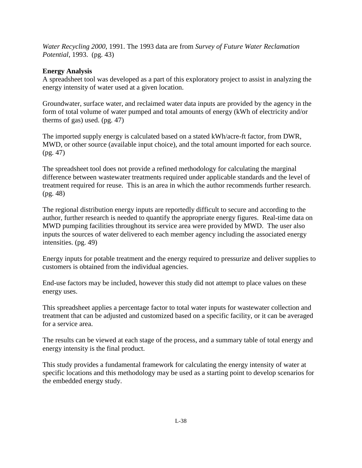*Water Recycling 2000*, 1991. The 1993 data are from *Survey of Future Water Reclamation Potential*, 1993. (pg. 43)

# **Energy Analysis**

A spreadsheet tool was developed as a part of this exploratory project to assist in analyzing the energy intensity of water used at a given location.

Groundwater, surface water, and reclaimed water data inputs are provided by the agency in the form of total volume of water pumped and total amounts of energy (kWh of electricity and/or therms of gas) used. (pg. 47)

The imported supply energy is calculated based on a stated kWh/acre-ft factor, from DWR, MWD, or other source (available input choice), and the total amount imported for each source. (pg. 47)

The spreadsheet tool does not provide a refined methodology for calculating the marginal difference between wastewater treatments required under applicable standards and the level of treatment required for reuse. This is an area in which the author recommends further research. (pg. 48)

The regional distribution energy inputs are reportedly difficult to secure and according to the author, further research is needed to quantify the appropriate energy figures. Real-time data on MWD pumping facilities throughout its service area were provided by MWD. The user also inputs the sources of water delivered to each member agency including the associated energy intensities. (pg. 49)

Energy inputs for potable treatment and the energy required to pressurize and deliver supplies to customers is obtained from the individual agencies.

End-use factors may be included, however this study did not attempt to place values on these energy uses.

This spreadsheet applies a percentage factor to total water inputs for wastewater collection and treatment that can be adjusted and customized based on a specific facility, or it can be averaged for a service area.

The results can be viewed at each stage of the process, and a summary table of total energy and energy intensity is the final product.

This study provides a fundamental framework for calculating the energy intensity of water at specific locations and this methodology may be used as a starting point to develop scenarios for the embedded energy study.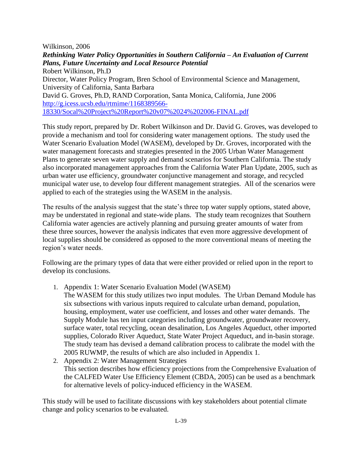Wilkinson, 2006

*Rethinking Water Policy Opportunities in Southern California – An Evaluation of Current Plans, Future Uncertainty and Local Resource Potential* Robert Wilkinson, Ph.D Director, Water Policy Program, Bren School of Environmental Science and Management, University of California, Santa Barbara David G. Groves, Ph.D, RAND Corporation, Santa Monica, California, June 2006 [http://g.icess.ucsb.edu/rtmime/1168389566-](http://g.icess.ucsb.edu/rtmime/1168389566-18330/Socal%20Project%20Report%20v07%2024%202006-FINAL.pdf) [18330/Socal%20Project%20Report%20v07%2024%202006-FINAL.pdf](http://g.icess.ucsb.edu/rtmime/1168389566-18330/Socal%20Project%20Report%20v07%2024%202006-FINAL.pdf)

This study report, prepared by Dr. Robert Wilkinson and Dr. David G. Groves, was developed to provide a mechanism and tool for considering water management options. The study used the Water Scenario Evaluation Model (WASEM), developed by Dr. Groves, incorporated with the water management forecasts and strategies presented in the 2005 Urban Water Management Plans to generate seven water supply and demand scenarios for Southern California. The study also incorporated management approaches from the California Water Plan Update, 2005, such as urban water use efficiency, groundwater conjunctive management and storage, and recycled municipal water use, to develop four different management strategies. All of the scenarios were applied to each of the strategies using the WASEM in the analysis.

The results of the analysis suggest that the state's three top water supply options, stated above, may be understated in regional and state-wide plans. The study team recognizes that Southern California water agencies are actively planning and pursuing greater amounts of water from these three sources, however the analysis indicates that even more aggressive development of local supplies should be considered as opposed to the more conventional means of meeting the region's water needs.

Following are the primary types of data that were either provided or relied upon in the report to develop its conclusions.

- 1. Appendix 1: Water Scenario Evaluation Model (WASEM) The WASEM for this study utilizes two input modules. The Urban Demand Module has six subsections with various inputs required to calculate urban demand, population, housing, employment, water use coefficient, and losses and other water demands. The Supply Module has ten input categories including groundwater, groundwater recovery, surface water, total recycling, ocean desalination, Los Angeles Aqueduct, other imported supplies, Colorado River Aqueduct, State Water Project Aqueduct, and in-basin storage. The study team has devised a demand calibration process to calibrate the model with the 2005 RUWMP, the results of which are also included in Appendix 1.
- 2. Appendix 2: Water Management Strategies This section describes how efficiency projections from the Comprehensive Evaluation of the CALFED Water Use Efficiency Element (CBDA, 2005) can be used as a benchmark for alternative levels of policy-induced efficiency in the WASEM.

This study will be used to facilitate discussions with key stakeholders about potential climate change and policy scenarios to be evaluated.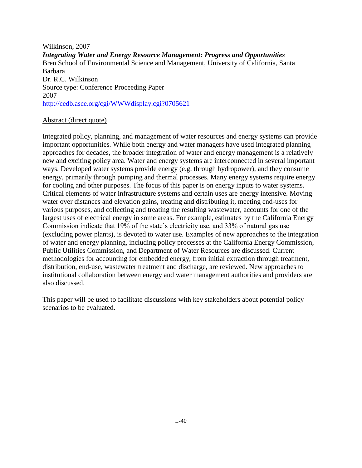Wilkinson, 2007 *Integrating Water and Energy Resource Management: Progress and Opportunities* Bren School of Environmental Science and Management, University of California, Santa Barbara Dr. R.C. Wilkinson Source type: Conference Proceeding Paper 2007 <http://cedb.asce.org/cgi/WWWdisplay.cgi?0705621>

#### Abstract (direct quote)

Integrated policy, planning, and management of water resources and energy systems can provide important opportunities. While both energy and water managers have used integrated planning approaches for decades, the broader integration of water and energy management is a relatively new and exciting policy area. Water and energy systems are interconnected in several important ways. Developed water systems provide energy (e.g. through hydropower), and they consume energy, primarily through pumping and thermal processes. Many energy systems require energy for cooling and other purposes. The focus of this paper is on energy inputs to water systems. Critical elements of water infrastructure systems and certain uses are energy intensive. Moving water over distances and elevation gains, treating and distributing it, meeting end-uses for various purposes, and collecting and treating the resulting wastewater, accounts for one of the largest uses of electrical energy in some areas. For example, estimates by the California Energy Commission indicate that 19% of the state's electricity use, and 33% of natural gas use (excluding power plants), is devoted to water use. Examples of new approaches to the integration of water and energy planning, including policy processes at the California Energy Commission, Public Utilities Commission, and Department of Water Resources are discussed. Current methodologies for accounting for embedded energy, from initial extraction through treatment, distribution, end-use, wastewater treatment and discharge, are reviewed. New approaches to institutional collaboration between energy and water management authorities and providers are also discussed.

This paper will be used to facilitate discussions with key stakeholders about potential policy scenarios to be evaluated.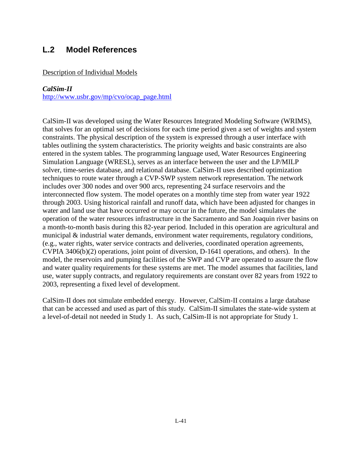# **L.2 Model References**

#### Description of Individual Models

#### *CalSim-II*

[http://www.usbr.gov/mp/cvo/ocap\\_page.html](http://www.usbr.gov/mp/cvo/ocap_page.html)

CalSim-II was developed using the Water Resources Integrated Modeling Software (WRIMS), that solves for an optimal set of decisions for each time period given a set of weights and system constraints. The physical description of the system is expressed through a user interface with tables outlining the system characteristics. The priority weights and basic constraints are also entered in the system tables. The programming language used, Water Resources Engineering Simulation Language (WRESL), serves as an interface between the user and the LP/MILP solver, time-series database, and relational database. CalSim-II uses described optimization techniques to route water through a CVP-SWP system network representation. The network includes over 300 nodes and over 900 arcs, representing 24 surface reservoirs and the interconnected flow system. The model operates on a monthly time step from water year 1922 through 2003. Using historical rainfall and runoff data, which have been adjusted for changes in water and land use that have occurred or may occur in the future, the model simulates the operation of the water resources infrastructure in the Sacramento and San Joaquin river basins on a month-to-month basis during this 82-year period. Included in this operation are agricultural and municipal & industrial water demands, environment water requirements, regulatory conditions, (e.g., water rights, water service contracts and deliveries, coordinated operation agreements, CVPIA 3406(b)(2) operations, joint point of diversion, D-1641 operations, and others). In the model, the reservoirs and pumping facilities of the SWP and CVP are operated to assure the flow and water quality requirements for these systems are met. The model assumes that facilities, land use, water supply contracts, and regulatory requirements are constant over 82 years from 1922 to 2003, representing a fixed level of development.

CalSim-II does not simulate embedded energy. However, CalSim-II contains a large database that can be accessed and used as part of this study. CalSim-II simulates the state-wide system at a level-of-detail not needed in Study 1. As such, CalSim-II is not appropriate for Study 1.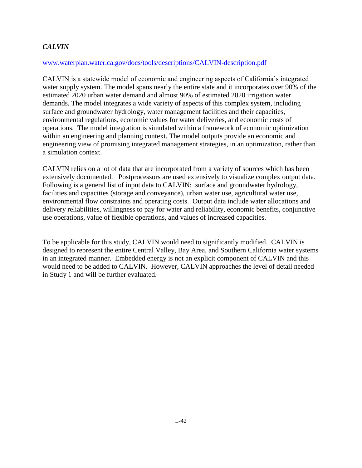# *CALVIN*

#### [www.waterplan.water.ca.gov/docs/tools/descriptions/CALVIN-description.pdf](http://www.waterplan.water.ca.gov/docs/tools/descriptions/CALVIN-description.pdf)

CALVIN is a statewide model of economic and engineering aspects of California's integrated water supply system. The model spans nearly the entire state and it incorporates over 90% of the estimated 2020 urban water demand and almost 90% of estimated 2020 irrigation water demands. The model integrates a wide variety of aspects of this complex system, including surface and groundwater hydrology, water management facilities and their capacities, environmental regulations, economic values for water deliveries, and economic costs of operations. The model integration is simulated within a framework of economic optimization within an engineering and planning context. The model outputs provide an economic and engineering view of promising integrated management strategies, in an optimization, rather than a simulation context.

CALVIN relies on a lot of data that are incorporated from a variety of sources which has been extensively documented. Postprocessors are used extensively to visualize complex output data. Following is a general list of input data to CALVIN: surface and groundwater hydrology, facilities and capacities (storage and conveyance), urban water use, agricultural water use, environmental flow constraints and operating costs. Output data include water allocations and delivery reliabilities, willingness to pay for water and reliability, economic benefits, conjunctive use operations, value of flexible operations, and values of increased capacities.

To be applicable for this study, CALVIN would need to significantly modified. CALVIN is designed to represent the entire Central Valley, Bay Area, and Southern California water systems in an integrated manner. Embedded energy is not an explicit component of CALVIN and this would need to be added to CALVIN. However, CALVIN approaches the level of detail needed in Study 1 and will be further evaluated.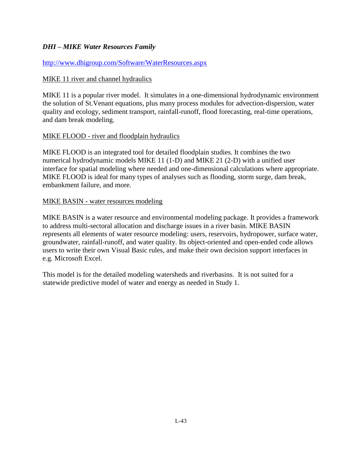## *DHI – MIKE Water Resources Family*

## <http://www.dhigroup.com/Software/WaterResources.aspx>

## MIKE 11 river and channel hydraulics

MIKE 11 is a popular river model. It simulates in a one-dimensional hydrodynamic environment the solution of St.Venant equations, plus many process modules for advection-dispersion, water quality and ecology, sediment transport, rainfall-runoff, flood forecasting, real-time operations, and dam break modeling.

## MIKE FLOOD - river and floodplain hydraulics

MIKE FLOOD is an integrated tool for detailed floodplain studies. It combines the two numerical hydrodynamic models MIKE 11 (1-D) and MIKE 21 (2-D) with a unified user interface for spatial modeling where needed and one-dimensional calculations where appropriate. MIKE FLOOD is ideal for many types of analyses such as flooding, storm surge, dam break, embankment failure, and more.

## MIKE BASIN - water resources modeling

MIKE BASIN is a water resource and environmental modeling package. It provides a framework to address multi-sectoral allocation and discharge issues in a river basin. MIKE BASIN represents all elements of water resource modeling: users, reservoirs, hydropower, surface water, groundwater, rainfall-runoff, and water quality. Its object-oriented and open-ended code allows users to write their own Visual Basic rules, and make their own decision support interfaces in e.g. Microsoft Excel.

This model is for the detailed modeling watersheds and riverbasins. It is not suited for a statewide predictive model of water and energy as needed in Study 1.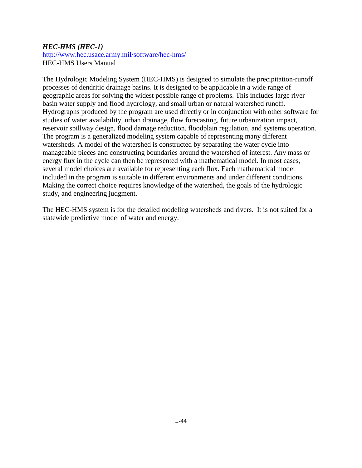## *HEC-HMS (HEC-1)*

<http://www.hec.usace.army.mil/software/hec-hms/> HEC-HMS Users Manual

The Hydrologic Modeling System (HEC-HMS) is designed to simulate the precipitation-runoff processes of dendritic drainage basins. It is designed to be applicable in a wide range of geographic areas for solving the widest possible range of problems. This includes large river basin water supply and flood hydrology, and small urban or natural watershed runoff. Hydrographs produced by the program are used directly or in conjunction with other software for studies of water availability, urban drainage, flow forecasting, future urbanization impact, reservoir spillway design, flood damage reduction, floodplain regulation, and systems operation. The program is a generalized modeling system capable of representing many different watersheds. A model of the watershed is constructed by separating the water cycle into manageable pieces and constructing boundaries around the watershed of interest. Any mass or energy flux in the cycle can then be represented with a mathematical model. In most cases, several model choices are available for representing each flux. Each mathematical model included in the program is suitable in different environments and under different conditions. Making the correct choice requires knowledge of the watershed, the goals of the hydrologic study, and engineering judgment.

The HEC-HMS system is for the detailed modeling watersheds and rivers. It is not suited for a statewide predictive model of water and energy.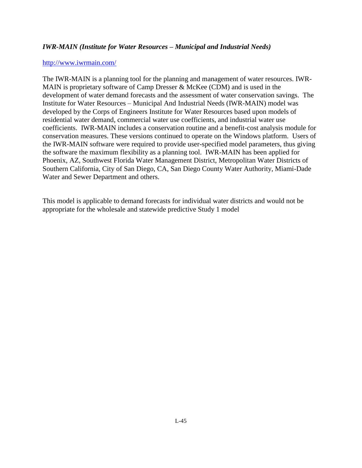## *IWR-MAIN (Institute for Water Resources – Municipal and Industrial Needs)*

#### <http://www.iwrmain.com/>

The IWR-MAIN is a planning tool for the planning and management of water resources. IWR-MAIN is proprietary software of Camp Dresser & McKee (CDM) and is used in the development of water demand forecasts and the assessment of water conservation savings. The Institute for Water Resources – Municipal And Industrial Needs (IWR-MAIN) model was developed by the Corps of Engineers Institute for Water Resources based upon models of residential water demand, commercial water use coefficients, and industrial water use coefficients. IWR-MAIN includes a conservation routine and a benefit-cost analysis module for conservation measures. These versions continued to operate on the Windows platform. Users of the IWR-MAIN software were required to provide user-specified model parameters, thus giving the software the maximum flexibility as a planning tool. IWR-MAIN has been applied for Phoenix, AZ, Southwest Florida Water Management District, Metropolitan Water Districts of Southern California, City of San Diego, CA, San Diego County Water Authority, Miami-Dade Water and Sewer Department and others.

This model is applicable to demand forecasts for individual water districts and would not be appropriate for the wholesale and statewide predictive Study 1 model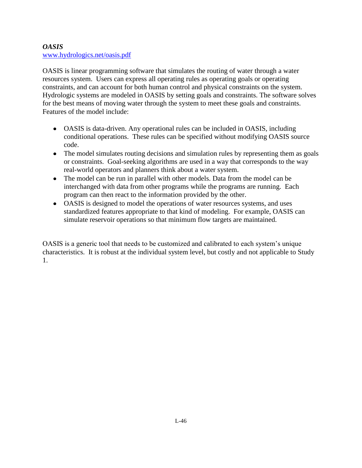## *OASIS*  [www.hydrologics.net/oasis.pdf](http://www.hydrologics.net/oasis.pdf)

OASIS is linear programming software that simulates the routing of water through a water resources system. Users can express all operating rules as operating goals or operating constraints, and can account for both human control and physical constraints on the system. Hydrologic systems are modeled in OASIS by setting goals and constraints. The software solves for the best means of moving water through the system to meet these goals and constraints. Features of the model include:

- OASIS is data-driven. Any operational rules can be included in OASIS, including conditional operations. These rules can be specified without modifying OASIS source code.
- The model simulates routing decisions and simulation rules by representing them as goals or constraints. Goal-seeking algorithms are used in a way that corresponds to the way real-world operators and planners think about a water system.
- The model can be run in parallel with other models. Data from the model can be interchanged with data from other programs while the programs are running. Each program can then react to the information provided by the other.
- OASIS is designed to model the operations of water resources systems, and uses standardized features appropriate to that kind of modeling. For example, OASIS can simulate reservoir operations so that minimum flow targets are maintained.

OASIS is a generic tool that needs to be customized and calibrated to each system's unique characteristics. It is robust at the individual system level, but costly and not applicable to Study 1.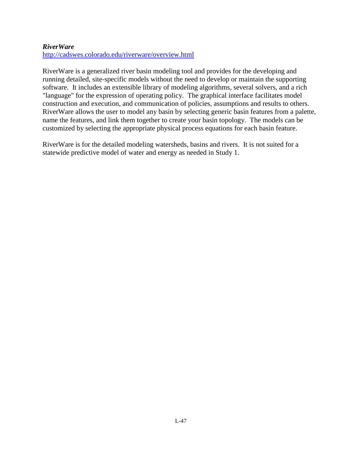## *RiverWare*

<http://cadswes.colorado.edu/riverware/overview.html>

RiverWare is a generalized river basin modeling tool and provides for the developing and running detailed, site-specific models without the need to develop or maintain the supporting software. It includes an extensible library of modeling algorithms, several solvers, and a rich "language" for the expression of operating policy. The graphical interface facilitates model construction and execution, and communication of policies, assumptions and results to others. RiverWare allows the user to model any basin by selecting generic basin features from a palette, name the features, and link them together to create your basin topology. The models can be customized by selecting the appropriate physical process equations for each basin feature.

RiverWare is for the detailed modeling watersheds, basins and rivers. It is not suited for a statewide predictive model of water and energy as needed in Study 1.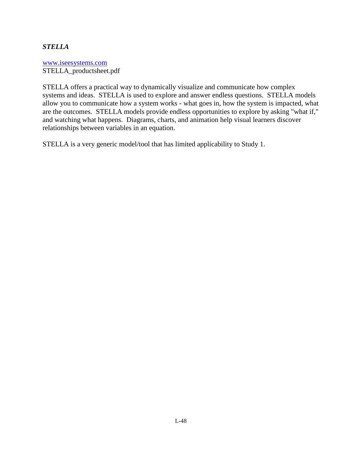## *STELLA*

[www.iseesystems.com](http://www.iseesystems.com/) STELLA\_productsheet.pdf

STELLA offers a practical way to dynamically visualize and communicate how complex systems and ideas. STELLA is used to explore and answer endless questions. STELLA models allow you to communicate how a system works - what goes in, how the system is impacted, what are the outcomes. STELLA models provide endless opportunities to explore by asking "what if," and watching what happens. Diagrams, charts, and animation help visual learners discover relationships between variables in an equation.

STELLA is a very generic model/tool that has limited applicability to Study 1.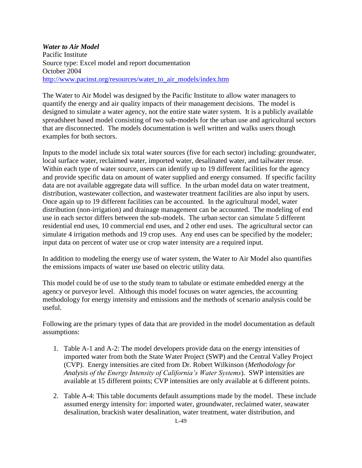## *Water to Air Model* Pacific Institute Source type: Excel model and report documentation October 2004 [http://www.pacinst.org/resources/water\\_to\\_air\\_models/index.htm](http://www.pacinst.org/resources/water_to_air_models/index.htm)

The Water to Air Model was designed by the Pacific Institute to allow water managers to quantify the energy and air quality impacts of their management decisions. The model is designed to simulate a water agency, not the entire state water system. It is a publicly available spreadsheet based model consisting of two sub-models for the urban use and agricultural sectors that are disconnected. The models documentation is well written and walks users though examples for both sectors.

Inputs to the model include six total water sources (five for each sector) including: groundwater, local surface water, reclaimed water, imported water, desalinated water, and tailwater reuse. Within each type of water source, users can identify up to 19 different facilities for the agency and provide specific data on amount of water supplied and energy consumed. If specific facility data are not available aggregate data will suffice. In the urban model data on water treatment, distribution, wastewater collection, and wastewater treatment facilities are also input by users. Once again up to 19 different facilities can be accounted. In the agricultural model, water distribution (non-irrigation) and drainage management can be accounted. The modeling of end use in each sector differs between the sub-models. The urban sector can simulate 5 different residential end uses, 10 commercial end uses, and 2 other end uses. The agricultural sector can simulate 4 irrigation methods and 19 crop uses. Any end uses can be specified by the modeler; input data on percent of water use or crop water intensity are a required input.

In addition to modeling the energy use of water system, the Water to Air Model also quantifies the emissions impacts of water use based on electric utility data.

This model could be of use to the study team to tabulate or estimate embedded energy at the agency or purveyor level. Although this model focuses on water agencies, the accounting methodology for energy intensity and emissions and the methods of scenario analysis could be useful.

Following are the primary types of data that are provided in the model documentation as default assumptions:

- 1. Table A-1 and A-2: The model developers provide data on the energy intensities of imported water from both the State Water Project (SWP) and the Central Valley Project (CVP). Energy intensities are cited from Dr. Robert Wilkinson (*Methodology for Analysis of the Energy Intensity of California's Water Systems*). SWP intensities are available at 15 different points; CVP intensities are only available at 6 different points.
- 2. Table A-4: This table documents default assumptions made by the model. These include assumed energy intensity for: imported water, groundwater, reclaimed water, seawater desalination, brackish water desalination, water treatment, water distribution, and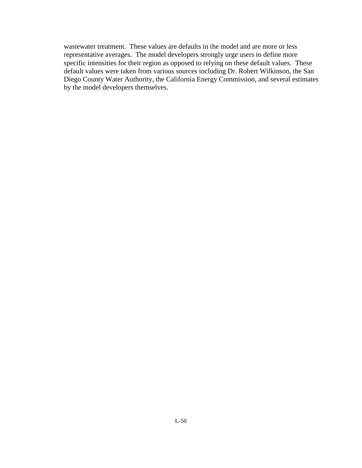wastewater treatment. These values are defaults in the model and are more or less representative averages. The model developers strongly urge users to define more specific intensities for their region as opposed to relying on these default values. These default values were taken from various sources including Dr. Robert Wilkinson, the San Diego County Water Authority, the California Energy Commission, and several estimates by the model developers themselves.